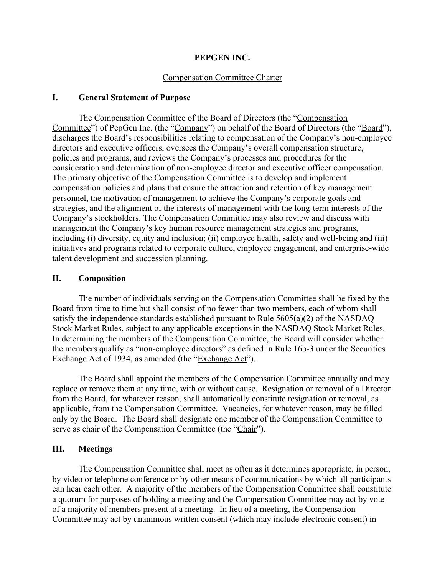#### **PEPGEN INC.**

#### Compensation Committee Charter

#### **I. General Statement of Purpose**

The Compensation Committee of the Board of Directors (the "Compensation Committee") of PepGen Inc. (the "Company") on behalf of the Board of Directors (the "Board"), discharges the Board's responsibilities relating to compensation of the Company's non-employee directors and executive officers, oversees the Company's overall compensation structure, policies and programs, and reviews the Company's processes and procedures for the consideration and determination of non-employee director and executive officer compensation. The primary objective of the Compensation Committee is to develop and implement compensation policies and plans that ensure the attraction and retention of key management personnel, the motivation of management to achieve the Company's corporate goals and strategies, and the alignment of the interests of management with the long-term interests of the Company's stockholders. The Compensation Committee may also review and discuss with management the Company's key human resource management strategies and programs, including (i) diversity, equity and inclusion; (ii) employee health, safety and well-being and (iii) initiatives and programs related to corporate culture, employee engagement, and enterprise-wide talent development and succession planning.

#### **II. Composition**

The number of individuals serving on the Compensation Committee shall be fixed by the Board from time to time but shall consist of no fewer than two members, each of whom shall satisfy the independence standards established pursuant to Rule 5605(a)(2) of the NASDAQ Stock Market Rules, subject to any applicable exceptionsin the NASDAQ Stock Market Rules. In determining the members of the Compensation Committee, the Board will consider whether the members qualify as "non-employee directors" as defined in Rule 16b-3 under the Securities Exchange Act of 1934, as amended (the "Exchange Act").

The Board shall appoint the members of the Compensation Committee annually and may replace or remove them at any time, with or without cause. Resignation or removal of a Director from the Board, for whatever reason, shall automatically constitute resignation or removal, as applicable, from the Compensation Committee. Vacancies, for whatever reason, may be filled only by the Board. The Board shall designate one member of the Compensation Committee to serve as chair of the Compensation Committee (the "Chair").

#### **III. Meetings**

The Compensation Committee shall meet as often as it determines appropriate, in person, by video or telephone conference or by other means of communications by which all participants can hear each other. A majority of the members of the Compensation Committee shall constitute a quorum for purposes of holding a meeting and the Compensation Committee may act by vote of a majority of members present at a meeting. In lieu of a meeting, the Compensation Committee may act by unanimous written consent (which may include electronic consent) in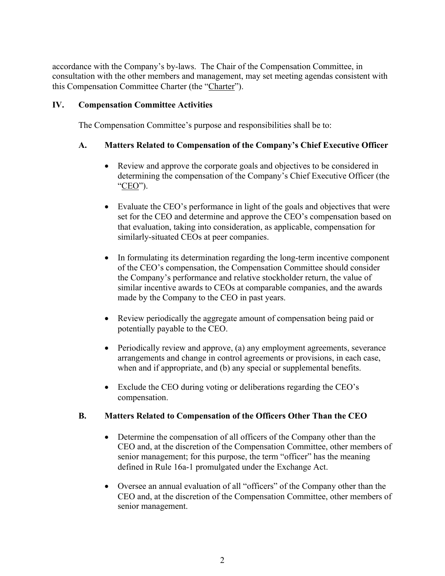accordance with the Company's by-laws. The Chair of the Compensation Committee, in consultation with the other members and management, may set meeting agendas consistent with this Compensation Committee Charter (the "Charter").

#### **IV. Compensation Committee Activities**

The Compensation Committee's purpose and responsibilities shall be to:

#### **A. Matters Related to Compensation of the Company's Chief Executive Officer**

- Review and approve the corporate goals and objectives to be considered in determining the compensation of the Company's Chief Executive Officer (the "CEO").
- Evaluate the CEO's performance in light of the goals and objectives that were set for the CEO and determine and approve the CEO's compensation based on that evaluation, taking into consideration, as applicable, compensation for similarly-situated CEOs at peer companies.
- In formulating its determination regarding the long-term incentive component of the CEO's compensation, the Compensation Committee should consider the Company's performance and relative stockholder return, the value of similar incentive awards to CEOs at comparable companies, and the awards made by the Company to the CEO in past years.
- Review periodically the aggregate amount of compensation being paid or potentially payable to the CEO.
- Periodically review and approve, (a) any employment agreements, severance arrangements and change in control agreements or provisions, in each case, when and if appropriate, and (b) any special or supplemental benefits.
- Exclude the CEO during voting or deliberations regarding the CEO's compensation.

#### **B. Matters Related to Compensation of the Officers Other Than the CEO**

- Determine the compensation of all officers of the Company other than the CEO and, at the discretion of the Compensation Committee, other members of senior management; for this purpose, the term "officer" has the meaning defined in Rule 16a-1 promulgated under the Exchange Act.
- Oversee an annual evaluation of all "officers" of the Company other than the CEO and, at the discretion of the Compensation Committee, other members of senior management.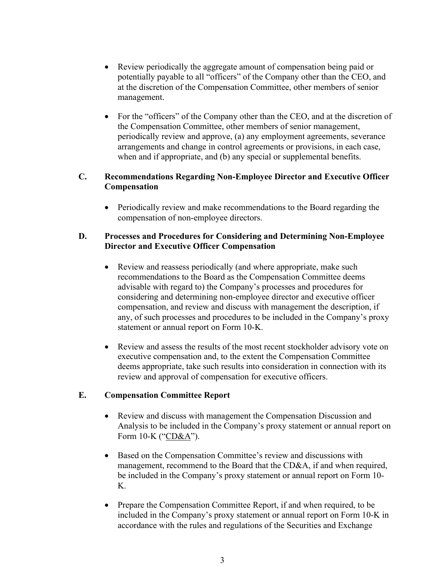- Review periodically the aggregate amount of compensation being paid or potentially payable to all "officers" of the Company other than the CEO, and at the discretion of the Compensation Committee, other members of senior management.
- For the "officers" of the Company other than the CEO, and at the discretion of the Compensation Committee, other members of senior management, periodically review and approve, (a) any employment agreements, severance arrangements and change in control agreements or provisions, in each case, when and if appropriate, and (b) any special or supplemental benefits.

## **C. Recommendations Regarding Non-Employee Director and Executive Officer Compensation**

• Periodically review and make recommendations to the Board regarding the compensation of non-employee directors.

#### **D. Processes and Procedures for Considering and Determining Non-Employee Director and Executive Officer Compensation**

- Review and reassess periodically (and where appropriate, make such recommendations to the Board as the Compensation Committee deems advisable with regard to) the Company's processes and procedures for considering and determining non-employee director and executive officer compensation, and review and discuss with management the description, if any, of such processes and procedures to be included in the Company's proxy statement or annual report on Form 10-K.
- Review and assess the results of the most recent stockholder advisory vote on executive compensation and, to the extent the Compensation Committee deems appropriate, take such results into consideration in connection with its review and approval of compensation for executive officers.

#### **E. Compensation Committee Report**

- Review and discuss with management the Compensation Discussion and Analysis to be included in the Company's proxy statement or annual report on Form 10-K ("CD&A").
- Based on the Compensation Committee's review and discussions with management, recommend to the Board that the CD&A, if and when required, be included in the Company's proxy statement or annual report on Form 10- K.
- Prepare the Compensation Committee Report, if and when required, to be included in the Company's proxy statement or annual report on Form 10-K in accordance with the rules and regulations of the Securities and Exchange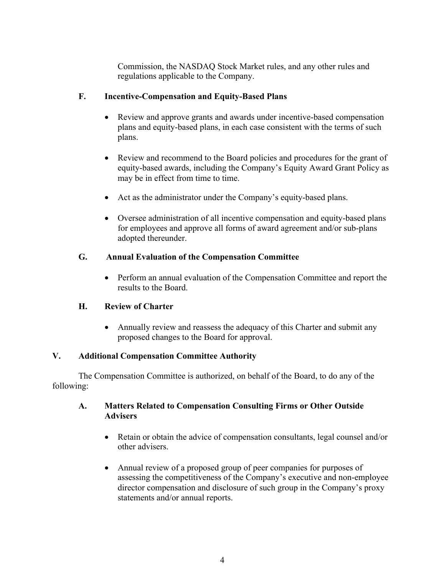Commission, the NASDAQ Stock Market rules, and any other rules and regulations applicable to the Company.

## **F. Incentive-Compensation and Equity-Based Plans**

- Review and approve grants and awards under incentive-based compensation plans and equity-based plans, in each case consistent with the terms of such plans.
- Review and recommend to the Board policies and procedures for the grant of equity-based awards, including the Company's Equity Award Grant Policy as may be in effect from time to time.
- Act as the administrator under the Company's equity-based plans.
- Oversee administration of all incentive compensation and equity-based plans for employees and approve all forms of award agreement and/or sub-plans adopted thereunder.

## **G. Annual Evaluation of the Compensation Committee**

• Perform an annual evaluation of the Compensation Committee and report the results to the Board.

# **H. Review of Charter**

• Annually review and reassess the adequacy of this Charter and submit any proposed changes to the Board for approval.

# **V. Additional Compensation Committee Authority**

The Compensation Committee is authorized, on behalf of the Board, to do any of the following:

## **A. Matters Related to Compensation Consulting Firms or Other Outside Advisers**

- Retain or obtain the advice of compensation consultants, legal counsel and/or other advisers.
- Annual review of a proposed group of peer companies for purposes of assessing the competitiveness of the Company's executive and non-employee director compensation and disclosure of such group in the Company's proxy statements and/or annual reports.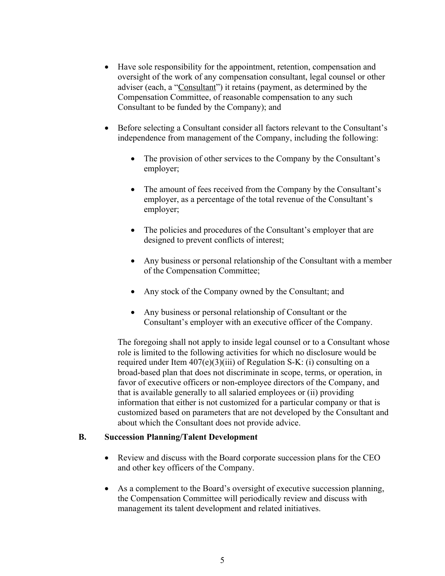- Have sole responsibility for the appointment, retention, compensation and oversight of the work of any compensation consultant, legal counsel or other adviser (each, a "Consultant") it retains (payment, as determined by the Compensation Committee, of reasonable compensation to any such Consultant to be funded by the Company); and
- Before selecting a Consultant consider all factors relevant to the Consultant's independence from management of the Company, including the following:
	- The provision of other services to the Company by the Consultant's employer;
	- The amount of fees received from the Company by the Consultant's employer, as a percentage of the total revenue of the Consultant's employer;
	- The policies and procedures of the Consultant's employer that are designed to prevent conflicts of interest;
	- Any business or personal relationship of the Consultant with a member of the Compensation Committee;
	- Any stock of the Company owned by the Consultant; and
	- Any business or personal relationship of Consultant or the Consultant's employer with an executive officer of the Company.

The foregoing shall not apply to inside legal counsel or to a Consultant whose role is limited to the following activities for which no disclosure would be required under Item  $407(e)(3)(iii)$  of Regulation S-K: (i) consulting on a broad-based plan that does not discriminate in scope, terms, or operation, in favor of executive officers or non-employee directors of the Company, and that is available generally to all salaried employees or (ii) providing information that either is not customized for a particular company or that is customized based on parameters that are not developed by the Consultant and about which the Consultant does not provide advice.

#### **B. Succession Planning/Talent Development**

- Review and discuss with the Board corporate succession plans for the CEO and other key officers of the Company.
- As a complement to the Board's oversight of executive succession planning, the Compensation Committee will periodically review and discuss with management its talent development and related initiatives.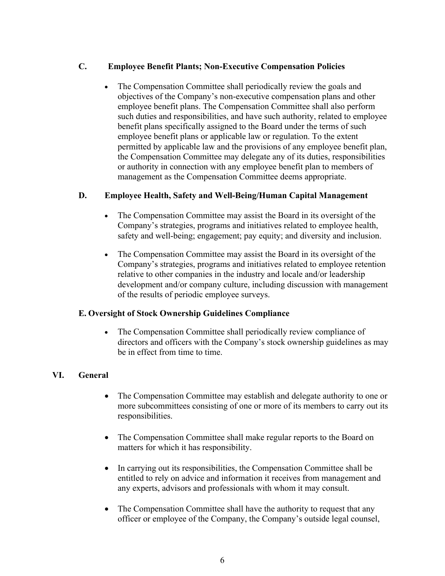## **C. Employee Benefit Plants; Non-Executive Compensation Policies**

The Compensation Committee shall periodically review the goals and objectives of the Company's non-executive compensation plans and other employee benefit plans. The Compensation Committee shall also perform such duties and responsibilities, and have such authority, related to employee benefit plans specifically assigned to the Board under the terms of such employee benefit plans or applicable law or regulation. To the extent permitted by applicable law and the provisions of any employee benefit plan, the Compensation Committee may delegate any of its duties, responsibilities or authority in connection with any employee benefit plan to members of management as the Compensation Committee deems appropriate.

#### **D. Employee Health, Safety and Well-Being/Human Capital Management**

- The Compensation Committee may assist the Board in its oversight of the Company's strategies, programs and initiatives related to employee health, safety and well-being; engagement; pay equity; and diversity and inclusion.
- The Compensation Committee may assist the Board in its oversight of the Company's strategies, programs and initiatives related to employee retention relative to other companies in the industry and locale and/or leadership development and/or company culture, including discussion with management of the results of periodic employee surveys.

#### **E. Oversight of Stock Ownership Guidelines Compliance**

The Compensation Committee shall periodically review compliance of directors and officers with the Company's stock ownership guidelines as may be in effect from time to time.

# **VI. General**

- The Compensation Committee may establish and delegate authority to one or more subcommittees consisting of one or more of its members to carry out its responsibilities.
- The Compensation Committee shall make regular reports to the Board on matters for which it has responsibility.
- In carrying out its responsibilities, the Compensation Committee shall be entitled to rely on advice and information it receives from management and any experts, advisors and professionals with whom it may consult.
- The Compensation Committee shall have the authority to request that any officer or employee of the Company, the Company's outside legal counsel,